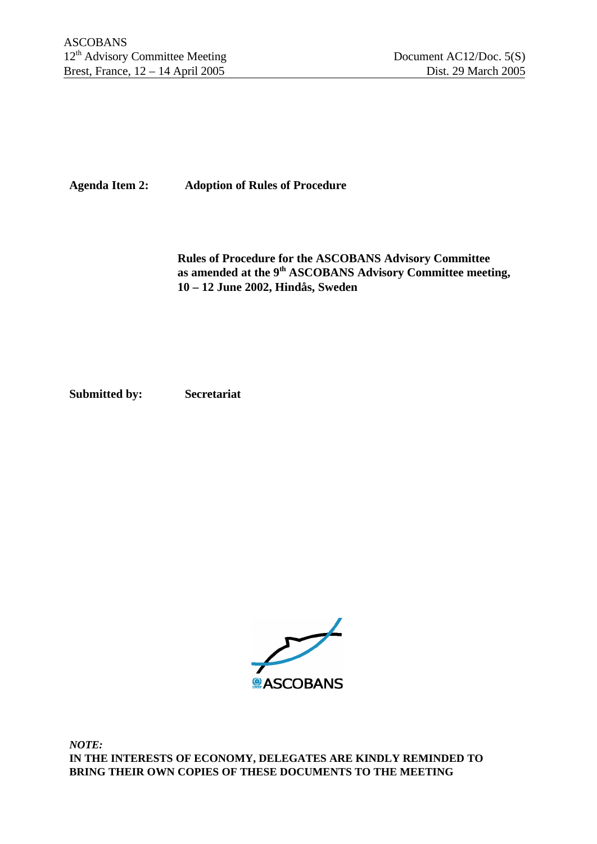**Agenda Item 2: Adoption of Rules of Procedure**

**Rules of Procedure for the ASCOBANS Advisory Committee as amended at the 9th ASCOBANS Advisory Committee meeting, 10 – 12 June 2002, Hindås, Sweden**

**Submitted by: Secretariat**

**ASCOBANS** 

*NOTE:* **IN THE INTERESTS OF ECONOMY, DELEGATES ARE KINDLY REMINDED TO BRING THEIR OWN COPIES OF THESE DOCUMENTS TO THE MEETING**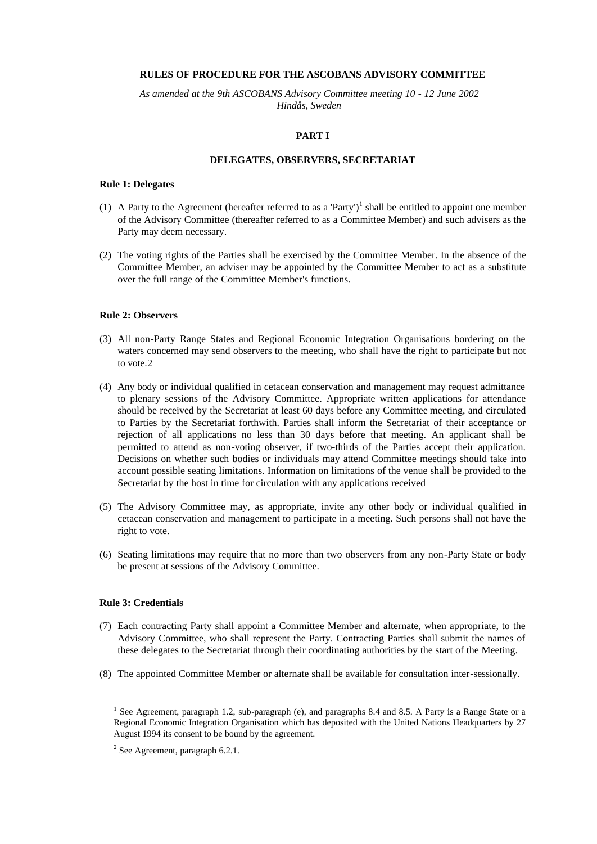# **RULES OF PROCEDURE FOR THE ASCOBANS ADVISORY COMMITTEE**

*As amended at the 9th ASCOBANS Advisory Committee meeting 10 - 12 June 2002 Hindås, Sweden*

# **PART I**

### **DELEGATES, OBSERVERS, SECRETARIAT**

# **Rule 1: Delegates**

- (1) A Party to the Agreement (hereafter referred to as a 'Party')<sup>1</sup> shall be entitled to appoint one member of the Advisory Committee (thereafter referred to as a Committee Member) and such advisers as the Party may deem necessary.
- (2) The voting rights of the Parties shall be exercised by the Committee Member. In the absence of the Committee Member, an adviser may be appointed by the Committee Member to act as a substitute over the full range of the Committee Member's functions.

# **Rule 2: Observers**

- (3) All non-Party Range States and Regional Economic Integration Organisations bordering on the waters concerned may send observers to the meeting, who shall have the right to participate but not to vote.2
- (4) Any body or individual qualified in cetacean conservation and management may request admittance to plenary sessions of the Advisory Committee. Appropriate written applications for attendance should be received by the Secretariat at least 60 days before any Committee meeting, and circulated to Parties by the Secretariat forthwith. Parties shall inform the Secretariat of their acceptance or rejection of all applications no less than 30 days before that meeting. An applicant shall be permitted to attend as non-voting observer, if two-thirds of the Parties accept their application. Decisions on whether such bodies or individuals may attend Committee meetings should take into account possible seating limitations. Information on limitations of the venue shall be provided to the Secretariat by the host in time for circulation with any applications received
- (5) The Advisory Committee may, as appropriate, invite any other body or individual qualified in cetacean conservation and management to participate in a meeting. Such persons shall not have the right to vote.
- (6) Seating limitations may require that no more than two observers from any non-Party State or body be present at sessions of the Advisory Committee.

# **Rule 3: Credentials**

 $\overline{a}$ 

- (7) Each contracting Party shall appoint a Committee Member and alternate, when appropriate, to the Advisory Committee, who shall represent the Party. Contracting Parties shall submit the names of these delegates to the Secretariat through their coordinating authorities by the start of the Meeting.
- (8) The appointed Committee Member or alternate shall be available for consultation inter-sessionally.

<sup>&</sup>lt;sup>1</sup> See Agreement, paragraph 1.2, sub-paragraph (e), and paragraphs 8.4 and 8.5. A Party is a Range State or a Regional Economic Integration Organisation which has deposited with the United Nations Headquarters by 27 August 1994 its consent to be bound by the agreement.

 $2$  See Agreement, paragraph 6.2.1.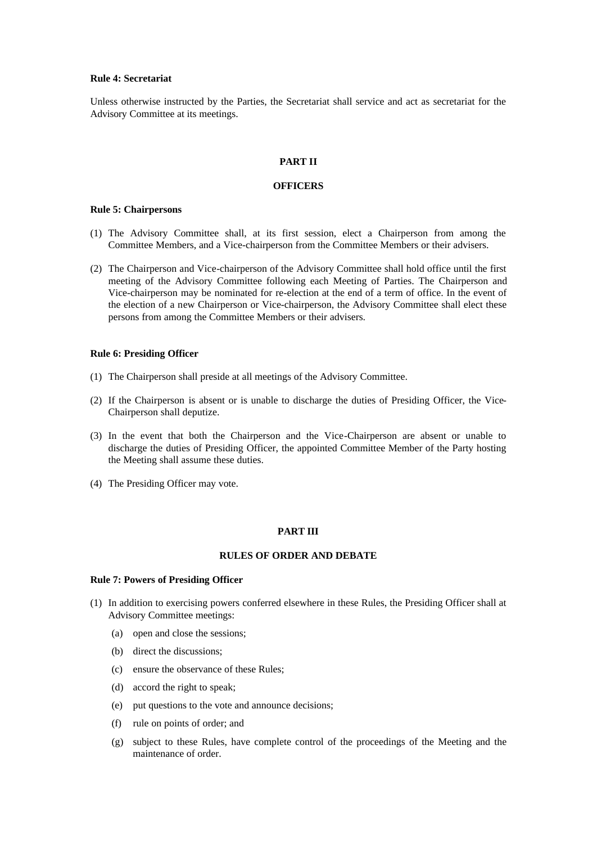### **Rule 4: Secretariat**

Unless otherwise instructed by the Parties, the Secretariat shall service and act as secretariat for the Advisory Committee at its meetings.

# **PART II**

#### **OFFICERS**

### **Rule 5: Chairpersons**

- (1) The Advisory Committee shall, at its first session, elect a Chairperson from among the Committee Members, and a Vice-chairperson from the Committee Members or their advisers.
- (2) The Chairperson and Vice-chairperson of the Advisory Committee shall hold office until the first meeting of the Advisory Committee following each Meeting of Parties. The Chairperson and Vice-chairperson may be nominated for re-election at the end of a term of office. In the event of the election of a new Chairperson or Vice-chairperson, the Advisory Committee shall elect these persons from among the Committee Members or their advisers.

# **Rule 6: Presiding Officer**

- (1) The Chairperson shall preside at all meetings of the Advisory Committee.
- (2) If the Chairperson is absent or is unable to discharge the duties of Presiding Officer, the Vice-Chairperson shall deputize.
- (3) In the event that both the Chairperson and the Vice-Chairperson are absent or unable to discharge the duties of Presiding Officer, the appointed Committee Member of the Party hosting the Meeting shall assume these duties.
- (4) The Presiding Officer may vote.

### **PART III**

# **RULES OF ORDER AND DEBATE**

## **Rule 7: Powers of Presiding Officer**

- (1) In addition to exercising powers conferred elsewhere in these Rules, the Presiding Officer shall at Advisory Committee meetings:
	- (a) open and close the sessions;
	- (b) direct the discussions;
	- (c) ensure the observance of these Rules;
	- (d) accord the right to speak;
	- (e) put questions to the vote and announce decisions;
	- (f) rule on points of order; and
	- (g) subject to these Rules, have complete control of the proceedings of the Meeting and the maintenance of order.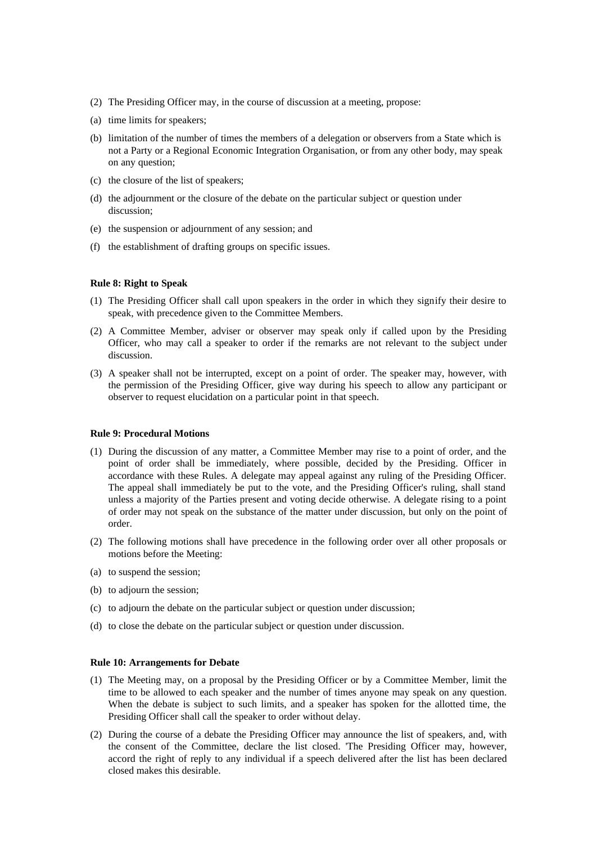- (2) The Presiding Officer may, in the course of discussion at a meeting, propose:
- (a) time limits for speakers;
- (b) limitation of the number of times the members of a delegation or observers from a State which is not a Party or a Regional Economic Integration Organisation, or from any other body, may speak on any question;
- (c) the closure of the list of speakers;
- (d) the adjournment or the closure of the debate on the particular subject or question under discussion;
- (e) the suspension or adjournment of any session; and
- (f) the establishment of drafting groups on specific issues.

### **Rule 8: Right to Speak**

- (1) The Presiding Officer shall call upon speakers in the order in which they signify their desire to speak, with precedence given to the Committee Members.
- (2) A Committee Member, adviser or observer may speak only if called upon by the Presiding Officer, who may call a speaker to order if the remarks are not relevant to the subject under discussion.
- (3) A speaker shall not be interrupted, except on a point of order. The speaker may, however, with the permission of the Presiding Officer, give way during his speech to allow any participant or observer to request elucidation on a particular point in that speech.

# **Rule 9: Procedural Motions**

- (1) During the discussion of any matter, a Committee Member may rise to a point of order, and the point of order shall be immediately, where possible, decided by the Presiding. Officer in accordance with these Rules. A delegate may appeal against any ruling of the Presiding Officer. The appeal shall immediately be put to the vote, and the Presiding Officer's ruling, shall stand unless a majority of the Parties present and voting decide otherwise. A delegate rising to a point of order may not speak on the substance of the matter under discussion, but only on the point of order.
- (2) The following motions shall have precedence in the following order over all other proposals or motions before the Meeting:
- (a) to suspend the session;
- (b) to adjourn the session;
- (c) to adjourn the debate on the particular subject or question under discussion;
- (d) to close the debate on the particular subject or question under discussion.

### **Rule 10: Arrangements for Debate**

- (1) The Meeting may, on a proposal by the Presiding Officer or by a Committee Member, limit the time to be allowed to each speaker and the number of times anyone may speak on any question. When the debate is subject to such limits, and a speaker has spoken for the allotted time, the Presiding Officer shall call the speaker to order without delay.
- (2) During the course of a debate the Presiding Officer may announce the list of speakers, and, with the consent of the Committee, declare the list closed. 'The Presiding Officer may, however, accord the right of reply to any individual if a speech delivered after the list has been declared closed makes this desirable.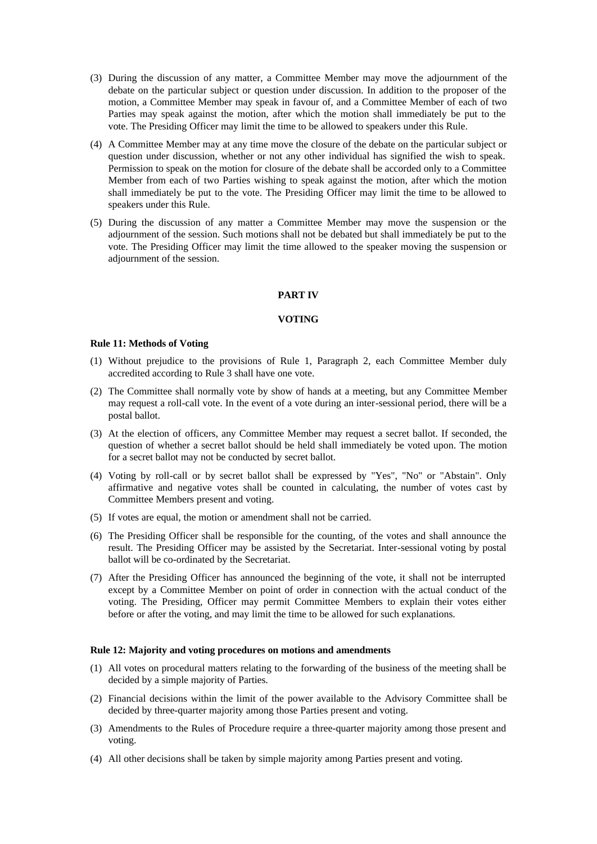- (3) During the discussion of any matter, a Committee Member may move the adjournment of the debate on the particular subject or question under discussion. In addition to the proposer of the motion, a Committee Member may speak in favour of, and a Committee Member of each of two Parties may speak against the motion, after which the motion shall immediately be put to the vote. The Presiding Officer may limit the time to be allowed to speakers under this Rule.
- (4) A Committee Member may at any time move the closure of the debate on the particular subject or question under discussion, whether or not any other individual has signified the wish to speak. Permission to speak on the motion for closure of the debate shall be accorded only to a Committee Member from each of two Parties wishing to speak against the motion, after which the motion shall immediately be put to the vote. The Presiding Officer may limit the time to be allowed to speakers under this Rule.
- (5) During the discussion of any matter a Committee Member may move the suspension or the adjournment of the session. Such motions shall not be debated but shall immediately be put to the vote. The Presiding Officer may limit the time allowed to the speaker moving the suspension or adjournment of the session.

# **PART IV**

# **VOTING**

#### **Rule 11: Methods of Voting**

- (1) Without prejudice to the provisions of Rule 1, Paragraph 2, each Committee Member duly accredited according to Rule 3 shall have one vote.
- (2) The Committee shall normally vote by show of hands at a meeting, but any Committee Member may request a roll-call vote. In the event of a vote during an inter-sessional period, there will be a postal ballot.
- (3) At the election of officers, any Committee Member may request a secret ballot. If seconded, the question of whether a secret ballot should be held shall immediately be voted upon. The motion for a secret ballot may not be conducted by secret ballot.
- (4) Voting by roll-call or by secret ballot shall be expressed by "Yes", "No" or "Abstain". Only affirmative and negative votes shall be counted in calculating, the number of votes cast by Committee Members present and voting.
- (5) If votes are equal, the motion or amendment shall not be carried.
- (6) The Presiding Officer shall be responsible for the counting, of the votes and shall announce the result. The Presiding Officer may be assisted by the Secretariat. Inter-sessional voting by postal ballot will be co-ordinated by the Secretariat.
- (7) After the Presiding Officer has announced the beginning of the vote, it shall not be interrupted except by a Committee Member on point of order in connection with the actual conduct of the voting. The Presiding, Officer may permit Committee Members to explain their votes either before or after the voting, and may limit the time to be allowed for such explanations.

#### **Rule 12: Majority and voting procedures on motions and amendments**

- (1) All votes on procedural matters relating to the forwarding of the business of the meeting shall be decided by a simple majority of Parties.
- (2) Financial decisions within the limit of the power available to the Advisory Committee shall be decided by three-quarter majority among those Parties present and voting.
- (3) Amendments to the Rules of Procedure require a three-quarter majority among those present and voting.
- (4) All other decisions shall be taken by simple majority among Parties present and voting.